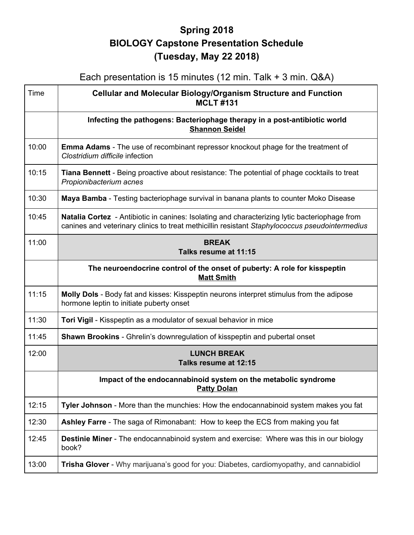## **Spring 2018 BIOLOGY Capstone Presentation Schedule (Tuesday, May 22 2018)**

## Each presentation is 15 minutes (12 min. Talk + 3 min. Q&A)

| Time  | <b>Cellular and Molecular Biology/Organism Structure and Function</b><br><b>MCLT#131</b>                                                                                                               |
|-------|--------------------------------------------------------------------------------------------------------------------------------------------------------------------------------------------------------|
|       | Infecting the pathogens: Bacteriophage therapy in a post-antibiotic world<br><b>Shannon Seidel</b>                                                                                                     |
| 10:00 | <b>Emma Adams</b> - The use of recombinant repressor knockout phage for the treatment of<br>Clostridium difficile infection                                                                            |
| 10:15 | Tiana Bennett - Being proactive about resistance: The potential of phage cocktails to treat<br>Propionibacterium acnes                                                                                 |
| 10:30 | Maya Bamba - Testing bacteriophage survival in banana plants to counter Moko Disease                                                                                                                   |
| 10:45 | <b>Natalia Cortez</b> - Antibiotic in canines: Isolating and characterizing lytic bacteriophage from<br>canines and veterinary clinics to treat methicillin resistant Staphylococcus pseudointermedius |
| 11:00 | <b>BREAK</b><br>Talks resume at 11:15                                                                                                                                                                  |
|       | The neuroendocrine control of the onset of puberty: A role for kisspeptin<br><b>Matt Smith</b>                                                                                                         |
| 11:15 | <b>Molly Dols</b> - Body fat and kisses: Kisspeptin neurons interpret stimulus from the adipose<br>hormone leptin to initiate puberty onset                                                            |
| 11:30 | Tori Vigil - Kisspeptin as a modulator of sexual behavior in mice                                                                                                                                      |
| 11:45 | <b>Shawn Brookins</b> - Ghrelin's downregulation of kisspeptin and pubertal onset                                                                                                                      |
| 12:00 | <b>LUNCH BREAK</b><br>Talks resume at 12:15                                                                                                                                                            |
|       | Impact of the endocannabinoid system on the metabolic syndrome<br><b>Patty Dolan</b>                                                                                                                   |
| 12:15 | Tyler Johnson - More than the munchies: How the endocannabinoid system makes you fat                                                                                                                   |
| 12:30 | Ashley Farre - The saga of Rimonabant: How to keep the ECS from making you fat                                                                                                                         |
| 12:45 | <b>Destinie Miner</b> - The endocannabinoid system and exercise: Where was this in our biology<br>book?                                                                                                |
| 13:00 | Trisha Glover - Why marijuana's good for you: Diabetes, cardiomyopathy, and cannabidiol                                                                                                                |